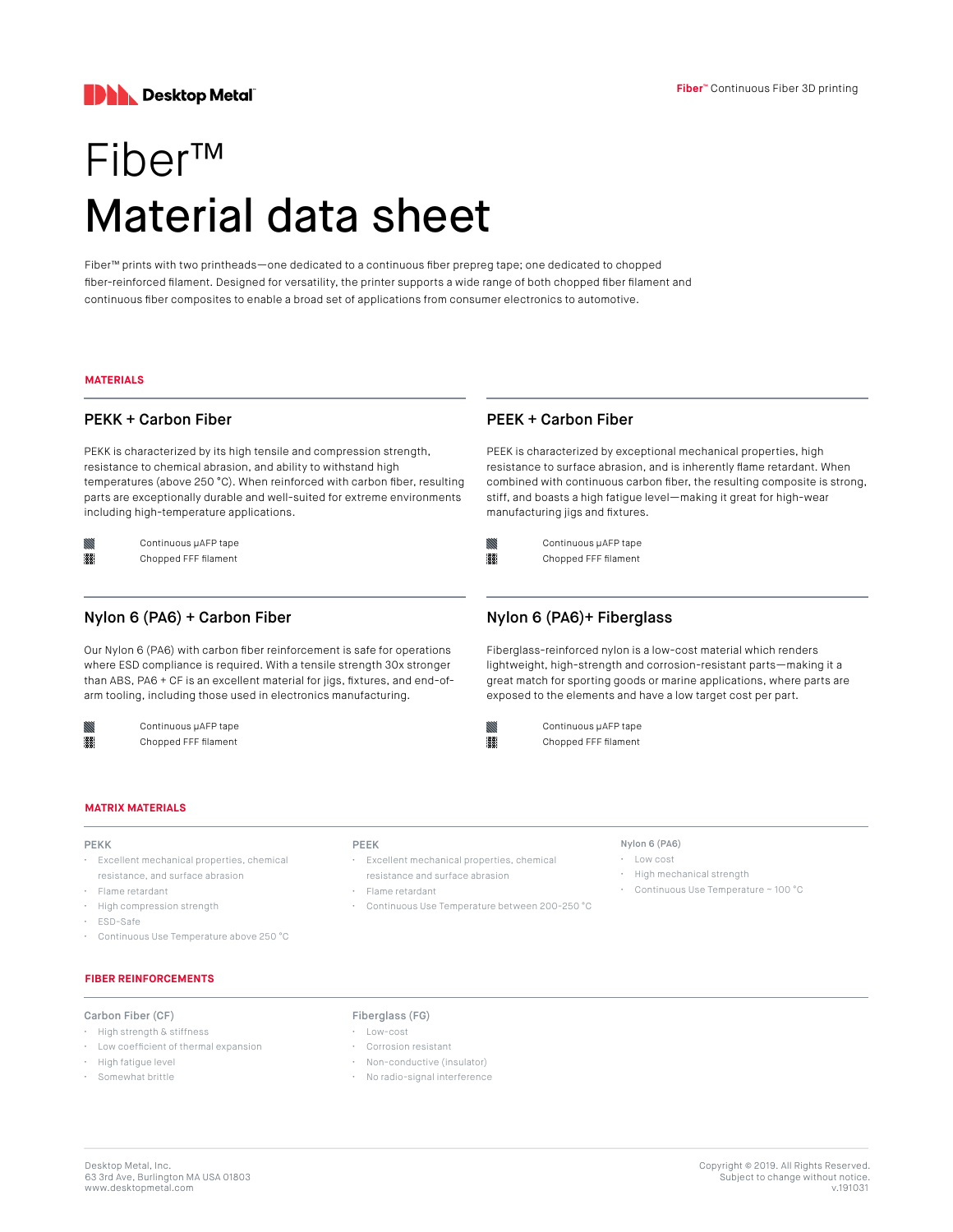

# Fiber™ Material data sheet

Fiber™ prints with two printheads—one dedicated to a continuous fiber prepreg tape; one dedicated to chopped fiber-reinforced filament. Designed for versatility, the printer supports a wide range of both chopped fiber filament and continuous fiber composites to enable a broad set of applications from consumer electronics to automotive.

## **MATERIALS**

888

## PEKK + Carbon Fiber

PEKK is characterized by its high tensile and compression strength, resistance to chemical abrasion, and ability to withstand high temperatures (above 250 °C). When reinforced with carbon fiber, resulting parts are exceptionally durable and well-suited for extreme environments including high-temperature applications.

Continuous µAFP tape Chopped FFF filament

## Nylon 6 (PA6) + Carbon Fiber

Our Nylon 6 (PA6) with carbon fiber reinforcement is safe for operations where ESD compliance is required. With a tensile strength 30x stronger than ABS, PA6 + CF is an excellent material for jigs, fixtures, and end-ofarm tooling, including those used in electronics manufacturing.

> Continuous µAFP tape Chopped FFF filament

# PEEK + Carbon Fiber

PEEK is characterized by exceptional mechanical properties, high resistance to surface abrasion, and is inherently flame retardant. When combined with continuous carbon fiber, the resulting composite is strong, stiff, and boasts a high fatigue level—making it great for high-wear manufacturing jigs and fixtures.



Chopped FFF filament

# Nylon 6 (PA6)+ Fiberglass

Fiberglass-reinforced nylon is a low-cost material which renders lightweight, high-strength and corrosion-resistant parts—making it a great match for sporting goods or marine applications, where parts are exposed to the elements and have a low target cost per part.



Continuous µAFP tape Chopped FFF filament

## **MATRIX MATERIALS**

## PEKK

- Excellent mechanical properties, chemical resistance, and surface abrasion
- Flame retardant
- High compression strength
- ESD-Safe
- Continuous Use Temperature above 250 °C

## **FIBER REINFORCEMENTS**

## Carbon Fiber (CF)

- High strength & stiffness
- Low coefficient of thermal expansion
- High fatigue level
- Somewhat brittle

#### PEEK

- Excellent mechanical properties, chemical
- resistance and surface abrasion
- Flame retardant
- Continuous Use Temperature between 200-250 °C

#### Nylon 6 (PA6)

- Low cost
- High mechanical strength
- Continuous Use Temperature ~ 100 °C

- Fiberglass (FG)
- Low-cost
- Corrosion resistant
- Non-conductive (insulator)
- No radio-signal interference